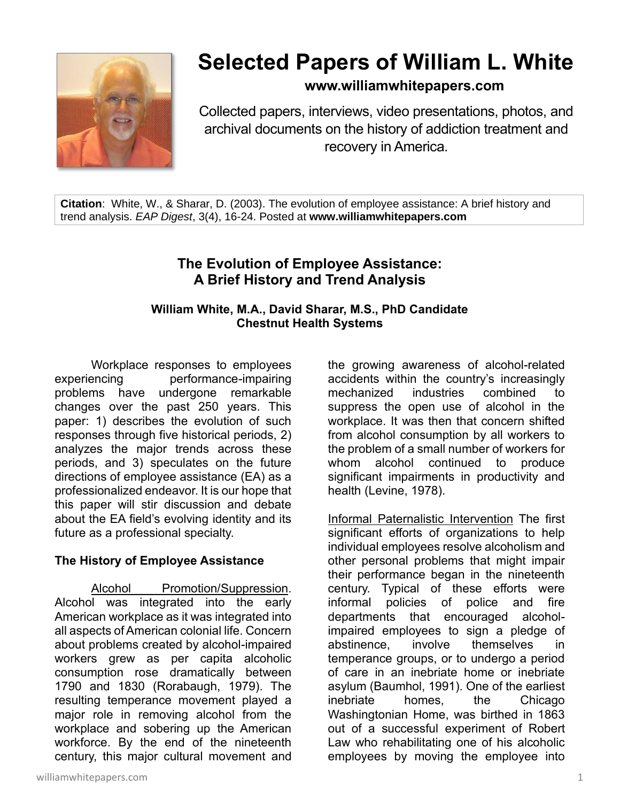

# **Selected Papers of William L. White**

**www.williamwhitepapers.com**

Collected papers, interviews, video presentations, photos, and archival documents on the history of addiction treatment and recovery in America.

**Citation**: White, W., & Sharar, D. (2003). The evolution of employee assistance: A brief history and trend analysis. *EAP Digest*, 3(4), 16-24. Posted at **www.williamwhitepapers.com**

# **The Evolution of Employee Assistance: A Brief History and Trend Analysis**

#### **William White, M.A., David Sharar, M.S., PhD Candidate Chestnut Health Systems**

Workplace responses to employees experiencing performance-impairing problems have undergone remarkable changes over the past 250 years. This paper: 1) describes the evolution of such responses through five historical periods, 2) analyzes the major trends across these periods, and 3) speculates on the future directions of employee assistance (EA) as a professionalized endeavor. It is our hope that this paper will stir discussion and debate about the EA field's evolving identity and its future as a professional specialty.

# **The History of Employee Assistance**

Alcohol Promotion/Suppression. Alcohol was integrated into the early American workplace as it was integrated into all aspects of American colonial life. Concern about problems created by alcohol-impaired workers grew as per capita alcoholic consumption rose dramatically between 1790 and 1830 (Rorabaugh, 1979). The resulting temperance movement played a major role in removing alcohol from the workplace and sobering up the American workforce. By the end of the nineteenth century, this major cultural movement and the growing awareness of alcohol-related accidents within the country's increasingly mechanized industries combined to suppress the open use of alcohol in the workplace. It was then that concern shifted from alcohol consumption by all workers to the problem of a small number of workers for whom alcohol continued to produce significant impairments in productivity and health (Levine, 1978).

Informal Paternalistic Intervention The first significant efforts of organizations to help individual employees resolve alcoholism and other personal problems that might impair their performance began in the nineteenth century. Typical of these efforts were informal policies of police and fire departments that encouraged alcoholimpaired employees to sign a pledge of abstinence, involve themselves in temperance groups, or to undergo a period of care in an inebriate home or inebriate asylum (Baumhol, 1991). One of the earliest inebriate homes, the Chicago Washingtonian Home, was birthed in 1863 out of a successful experiment of Robert Law who rehabilitating one of his alcoholic employees by moving the employee into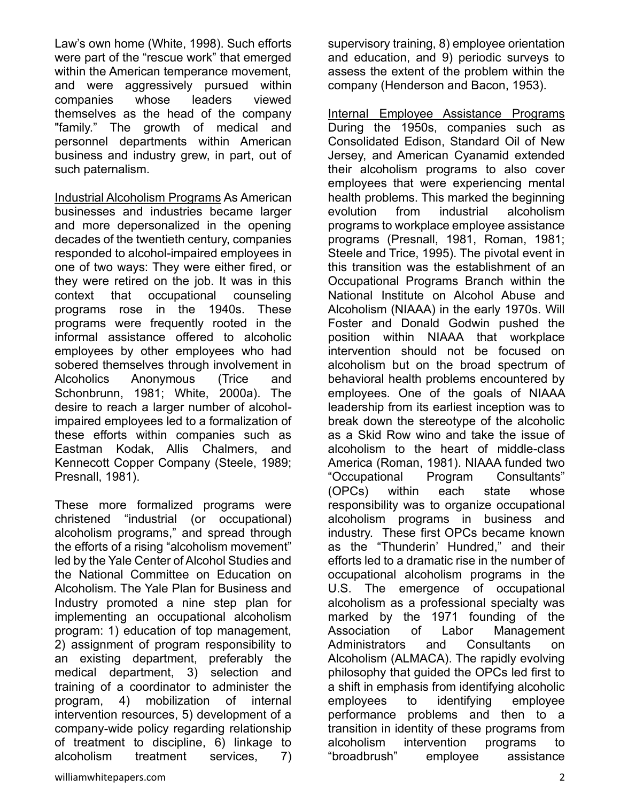Law's own home (White, 1998). Such efforts were part of the "rescue work" that emerged within the American temperance movement, and were aggressively pursued within companies whose leaders viewed themselves as the head of the company "family." The growth of medical and personnel departments within American business and industry grew, in part, out of such paternalism.

Industrial Alcoholism Programs As American businesses and industries became larger and more depersonalized in the opening decades of the twentieth century, companies responded to alcohol-impaired employees in one of two ways: They were either fired, or they were retired on the job. It was in this context that occupational counseling programs rose in the 1940s. These programs were frequently rooted in the informal assistance offered to alcoholic employees by other employees who had sobered themselves through involvement in Alcoholics Anonymous (Trice and Schonbrunn, 1981; White, 2000a). The desire to reach a larger number of alcoholimpaired employees led to a formalization of these efforts within companies such as Eastman Kodak, Allis Chalmers, and Kennecott Copper Company (Steele, 1989; Presnall, 1981).

These more formalized programs were christened "industrial (or occupational) alcoholism programs," and spread through the efforts of a rising "alcoholism movement" led by the Yale Center of Alcohol Studies and the National Committee on Education on Alcoholism. The Yale Plan for Business and Industry promoted a nine step plan for implementing an occupational alcoholism program: 1) education of top management, 2) assignment of program responsibility to an existing department, preferably the medical department, 3) selection and training of a coordinator to administer the program, 4) mobilization of internal intervention resources, 5) development of a company-wide policy regarding relationship of treatment to discipline, 6) linkage to alcoholism treatment services, 7)

and education, and 9) periodic surveys to assess the extent of the problem within the company (Henderson and Bacon, 1953).

supervisory training, 8) employee orientation

Internal Employee Assistance Programs During the 1950s, companies such as Consolidated Edison, Standard Oil of New Jersey, and American Cyanamid extended their alcoholism programs to also cover employees that were experiencing mental health problems. This marked the beginning evolution from industrial alcoholism programs to workplace employee assistance programs (Presnall, 1981, Roman, 1981; Steele and Trice, 1995). The pivotal event in this transition was the establishment of an Occupational Programs Branch within the National Institute on Alcohol Abuse and Alcoholism (NIAAA) in the early 1970s. Will Foster and Donald Godwin pushed the position within NIAAA that workplace intervention should not be focused on alcoholism but on the broad spectrum of behavioral health problems encountered by employees. One of the goals of NIAAA leadership from its earliest inception was to break down the stereotype of the alcoholic as a Skid Row wino and take the issue of alcoholism to the heart of middle-class America (Roman, 1981). NIAAA funded two "Occupational Program Consultants" (OPCs) within each state whose responsibility was to organize occupational alcoholism programs in business and industry. These first OPCs became known as the "Thunderin' Hundred," and their efforts led to a dramatic rise in the number of occupational alcoholism programs in the U.S. The emergence of occupational alcoholism as a professional specialty was marked by the 1971 founding of the Association of Labor Management Administrators and Consultants on Alcoholism (ALMACA). The rapidly evolving philosophy that guided the OPCs led first to a shift in emphasis from identifying alcoholic employees to identifying employee performance problems and then to a transition in identity of these programs from alcoholism intervention programs to "broadbrush" employee assistance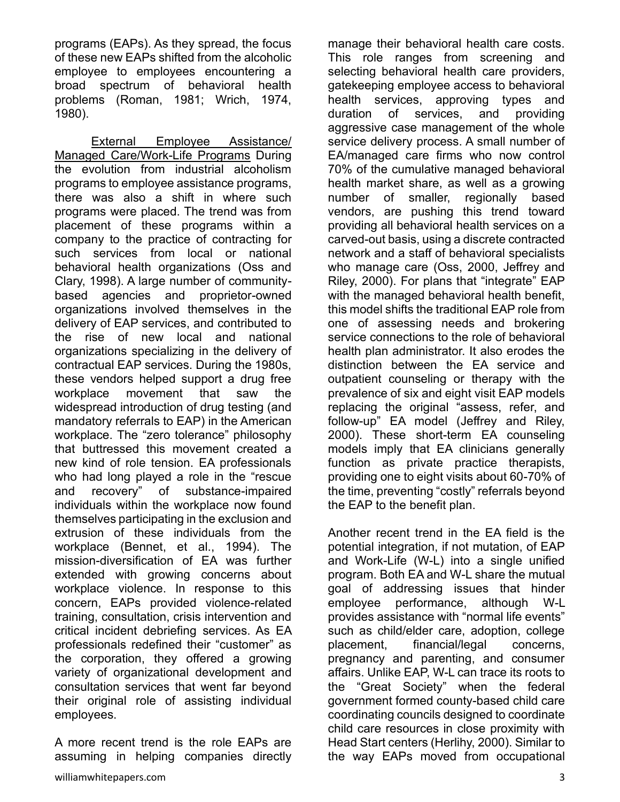programs (EAPs). As they spread, the focus of these new EAPs shifted from the alcoholic employee to employees encountering a broad spectrum of behavioral health problems (Roman, 1981; Wrich, 1974, 1980).

External Employee Assistance/ Managed Care/Work-Life Programs During the evolution from industrial alcoholism programs to employee assistance programs, there was also a shift in where such programs were placed. The trend was from placement of these programs within a company to the practice of contracting for such services from local or national behavioral health organizations (Oss and Clary, 1998). A large number of communitybased agencies and proprietor-owned organizations involved themselves in the delivery of EAP services, and contributed to the rise of new local and national organizations specializing in the delivery of contractual EAP services. During the 1980s, these vendors helped support a drug free workplace movement that saw the widespread introduction of drug testing (and mandatory referrals to EAP) in the American workplace. The "zero tolerance" philosophy that buttressed this movement created a new kind of role tension. EA professionals who had long played a role in the "rescue and recovery" of substance-impaired individuals within the workplace now found themselves participating in the exclusion and extrusion of these individuals from the workplace (Bennet, et al., 1994). The mission-diversification of EA was further extended with growing concerns about workplace violence. In response to this concern, EAPs provided violence-related training, consultation, crisis intervention and critical incident debriefing services. As EA professionals redefined their "customer" as the corporation, they offered a growing variety of organizational development and consultation services that went far beyond their original role of assisting individual employees.

A more recent trend is the role EAPs are assuming in helping companies directly manage their behavioral health care costs. This role ranges from screening and selecting behavioral health care providers, gatekeeping employee access to behavioral health services, approving types and duration of services, and providing aggressive case management of the whole service delivery process. A small number of EA/managed care firms who now control 70% of the cumulative managed behavioral health market share, as well as a growing number of smaller, regionally based vendors, are pushing this trend toward providing all behavioral health services on a carved-out basis, using a discrete contracted network and a staff of behavioral specialists who manage care (Oss, 2000, Jeffrey and Riley, 2000). For plans that "integrate" EAP with the managed behavioral health benefit, this model shifts the traditional EAP role from one of assessing needs and brokering service connections to the role of behavioral health plan administrator. It also erodes the distinction between the EA service and outpatient counseling or therapy with the prevalence of six and eight visit EAP models replacing the original "assess, refer, and follow-up" EA model (Jeffrey and Riley, 2000). These short-term EA counseling models imply that EA clinicians generally function as private practice therapists, providing one to eight visits about 60-70% of the time, preventing "costly" referrals beyond the EAP to the benefit plan.

Another recent trend in the EA field is the potential integration, if not mutation, of EAP and Work-Life (W-L) into a single unified program. Both EA and W-L share the mutual goal of addressing issues that hinder employee performance, although W-L provides assistance with "normal life events" such as child/elder care, adoption, college placement, financial/legal concerns, pregnancy and parenting, and consumer affairs. Unlike EAP, W-L can trace its roots to the "Great Society" when the federal government formed county-based child care coordinating councils designed to coordinate child care resources in close proximity with Head Start centers (Herlihy, 2000). Similar to the way EAPs moved from occupational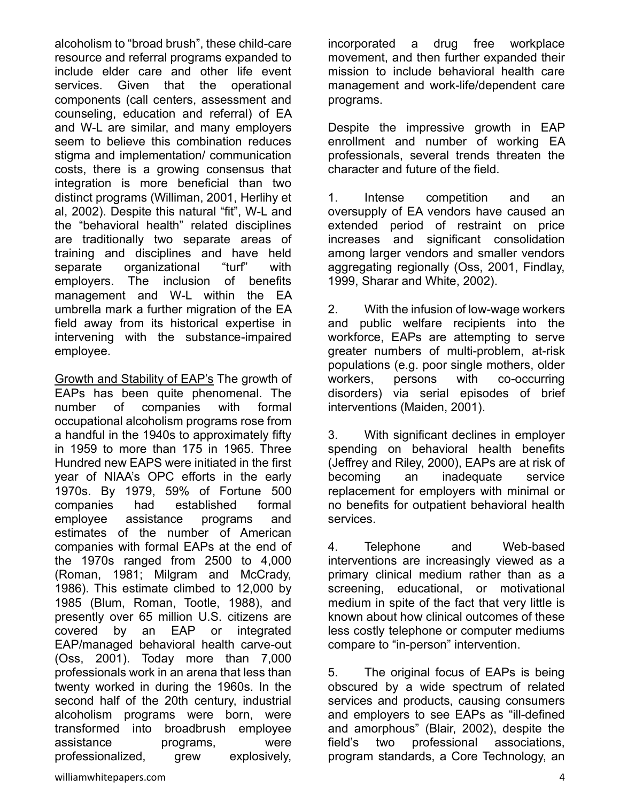alcoholism to "broad brush", these child-care resource and referral programs expanded to include elder care and other life event services. Given that the operational components (call centers, assessment and counseling, education and referral) of EA and W-L are similar, and many employers seem to believe this combination reduces stigma and implementation/ communication costs, there is a growing consensus that integration is more beneficial than two distinct programs (Williman, 2001, Herlihy et al, 2002). Despite this natural "fit", W-L and the "behavioral health" related disciplines are traditionally two separate areas of training and disciplines and have held separate organizational "turf" with employers. The inclusion of benefits management and W-L within the EA umbrella mark a further migration of the EA field away from its historical expertise in intervening with the substance-impaired employee.

Growth and Stability of EAP's The growth of EAPs has been quite phenomenal. The number of companies with formal occupational alcoholism programs rose from a handful in the 1940s to approximately fifty in 1959 to more than 175 in 1965. Three Hundred new EAPS were initiated in the first year of NIAA's OPC efforts in the early 1970s. By 1979, 59% of Fortune 500 companies had established formal employee assistance programs and estimates of the number of American companies with formal EAPs at the end of the 1970s ranged from 2500 to 4,000 (Roman, 1981; Milgram and McCrady, 1986). This estimate climbed to 12,000 by 1985 (Blum, Roman, Tootle, 1988), and presently over 65 million U.S. citizens are covered by an EAP or integrated EAP/managed behavioral health carve-out (Oss, 2001). Today more than 7,000 professionals work in an arena that less than twenty worked in during the 1960s. In the second half of the 20th century, industrial alcoholism programs were born, were transformed into broadbrush employee assistance programs, were professionalized, grew explosively,

incorporated a drug free workplace movement, and then further expanded their mission to include behavioral health care management and work-life/dependent care programs.

Despite the impressive growth in EAP enrollment and number of working EA professionals, several trends threaten the character and future of the field.

1. Intense competition and an oversupply of EA vendors have caused an extended period of restraint on price increases and significant consolidation among larger vendors and smaller vendors aggregating regionally (Oss, 2001, Findlay, 1999, Sharar and White, 2002).

2. With the infusion of low-wage workers and public welfare recipients into the workforce, EAPs are attempting to serve greater numbers of multi-problem, at-risk populations (e.g. poor single mothers, older workers, persons with co-occurring disorders) via serial episodes of brief interventions (Maiden, 2001).

3. With significant declines in employer spending on behavioral health benefits (Jeffrey and Riley, 2000), EAPs are at risk of becoming an inadequate service replacement for employers with minimal or no benefits for outpatient behavioral health services.

4. Telephone and Web-based interventions are increasingly viewed as a primary clinical medium rather than as a screening, educational, or motivational medium in spite of the fact that very little is known about how clinical outcomes of these less costly telephone or computer mediums compare to "in-person" intervention.

5. The original focus of EAPs is being obscured by a wide spectrum of related services and products, causing consumers and employers to see EAPs as "ill-defined and amorphous" (Blair, 2002), despite the field's two professional associations, program standards, a Core Technology, an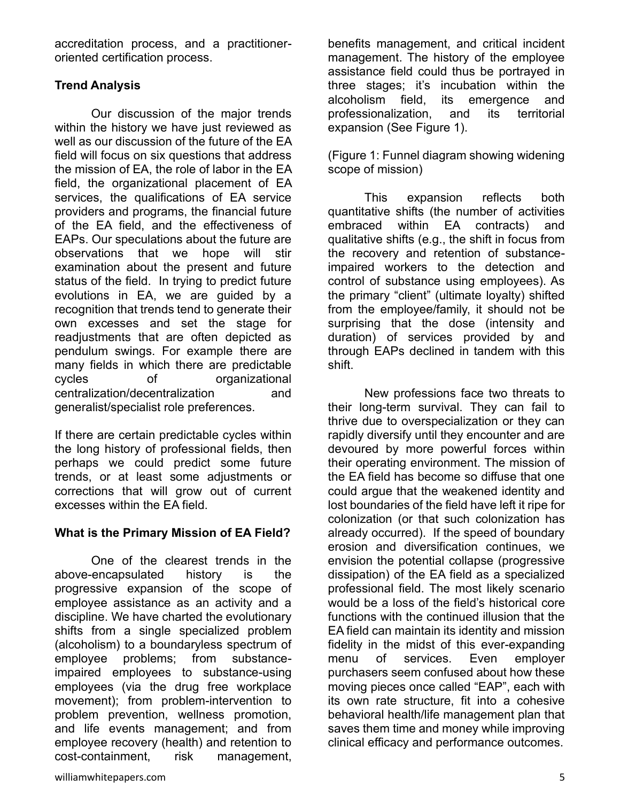accreditation process, and a practitioneroriented certification process.

# **Trend Analysis**

Our discussion of the major trends within the history we have just reviewed as well as our discussion of the future of the EA field will focus on six questions that address the mission of EA, the role of labor in the EA field, the organizational placement of EA services, the qualifications of EA service providers and programs, the financial future of the EA field, and the effectiveness of EAPs. Our speculations about the future are observations that we hope will stir examination about the present and future status of the field. In trying to predict future evolutions in EA, we are guided by a recognition that trends tend to generate their own excesses and set the stage for readjustments that are often depicted as pendulum swings. For example there are many fields in which there are predictable cycles of organizational centralization/decentralization and generalist/specialist role preferences.

If there are certain predictable cycles within the long history of professional fields, then perhaps we could predict some future trends, or at least some adjustments or corrections that will grow out of current excesses within the EA field.

# **What is the Primary Mission of EA Field?**

One of the clearest trends in the above-encapsulated history is the progressive expansion of the scope of employee assistance as an activity and a discipline. We have charted the evolutionary shifts from a single specialized problem (alcoholism) to a boundaryless spectrum of employee problems; from substanceimpaired employees to substance-using employees (via the drug free workplace movement); from problem-intervention to problem prevention, wellness promotion, and life events management; and from employee recovery (health) and retention to cost-containment, risk management,

benefits management, and critical incident management. The history of the employee assistance field could thus be portrayed in three stages; it's incubation within the alcoholism field, its emergence and professionalization, and its territorial expansion (See Figure 1).

(Figure 1: Funnel diagram showing widening scope of mission)

This expansion reflects both quantitative shifts (the number of activities embraced within EA contracts) and qualitative shifts (e.g., the shift in focus from the recovery and retention of substanceimpaired workers to the detection and control of substance using employees). As the primary "client" (ultimate loyalty) shifted from the employee/family, it should not be surprising that the dose (intensity and duration) of services provided by and through EAPs declined in tandem with this shift.

New professions face two threats to their long-term survival. They can fail to thrive due to overspecialization or they can rapidly diversify until they encounter and are devoured by more powerful forces within their operating environment. The mission of the EA field has become so diffuse that one could argue that the weakened identity and lost boundaries of the field have left it ripe for colonization (or that such colonization has already occurred). If the speed of boundary erosion and diversification continues, we envision the potential collapse (progressive dissipation) of the EA field as a specialized professional field. The most likely scenario would be a loss of the field's historical core functions with the continued illusion that the EA field can maintain its identity and mission fidelity in the midst of this ever-expanding menu of services. Even employer purchasers seem confused about how these moving pieces once called "EAP", each with its own rate structure, fit into a cohesive behavioral health/life management plan that saves them time and money while improving clinical efficacy and performance outcomes.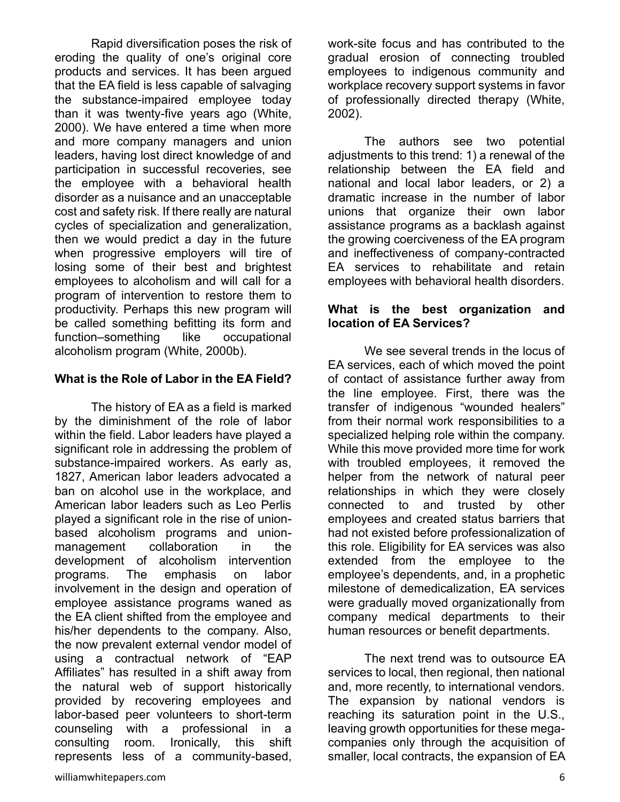Rapid diversification poses the risk of eroding the quality of one's original core products and services. It has been argued that the EA field is less capable of salvaging the substance-impaired employee today than it was twenty-five years ago (White, 2000). We have entered a time when more and more company managers and union leaders, having lost direct knowledge of and participation in successful recoveries, see the employee with a behavioral health disorder as a nuisance and an unacceptable cost and safety risk. If there really are natural cycles of specialization and generalization, then we would predict a day in the future when progressive employers will tire of losing some of their best and brightest employees to alcoholism and will call for a program of intervention to restore them to productivity. Perhaps this new program will be called something befitting its form and function–something like occupational alcoholism program (White, 2000b).

#### **What is the Role of Labor in the EA Field?**

The history of EA as a field is marked by the diminishment of the role of labor within the field. Labor leaders have played a significant role in addressing the problem of substance-impaired workers. As early as, 1827, American labor leaders advocated a ban on alcohol use in the workplace, and American labor leaders such as Leo Perlis played a significant role in the rise of unionbased alcoholism programs and unionmanagement collaboration in the development of alcoholism intervention programs. The emphasis on labor involvement in the design and operation of employee assistance programs waned as the EA client shifted from the employee and his/her dependents to the company. Also, the now prevalent external vendor model of using a contractual network of "EAP Affiliates" has resulted in a shift away from the natural web of support historically provided by recovering employees and labor-based peer volunteers to short-term counseling with a professional in a consulting room. Ironically, this shift represents less of a community-based,

work-site focus and has contributed to the gradual erosion of connecting troubled employees to indigenous community and workplace recovery support systems in favor of professionally directed therapy (White, 2002).

The authors see two potential adjustments to this trend: 1) a renewal of the relationship between the EA field and national and local labor leaders, or 2) a dramatic increase in the number of labor unions that organize their own labor assistance programs as a backlash against the growing coerciveness of the EA program and ineffectiveness of company-contracted EA services to rehabilitate and retain employees with behavioral health disorders.

#### **What is the best organization and location of EA Services?**

We see several trends in the locus of EA services, each of which moved the point of contact of assistance further away from the line employee. First, there was the transfer of indigenous "wounded healers" from their normal work responsibilities to a specialized helping role within the company. While this move provided more time for work with troubled employees, it removed the helper from the network of natural peer relationships in which they were closely connected to and trusted by other employees and created status barriers that had not existed before professionalization of this role. Eligibility for EA services was also extended from the employee to the employee's dependents, and, in a prophetic milestone of demedicalization, EA services were gradually moved organizationally from company medical departments to their human resources or benefit departments.

The next trend was to outsource EA services to local, then regional, then national and, more recently, to international vendors. The expansion by national vendors is reaching its saturation point in the U.S., leaving growth opportunities for these megacompanies only through the acquisition of smaller, local contracts, the expansion of EA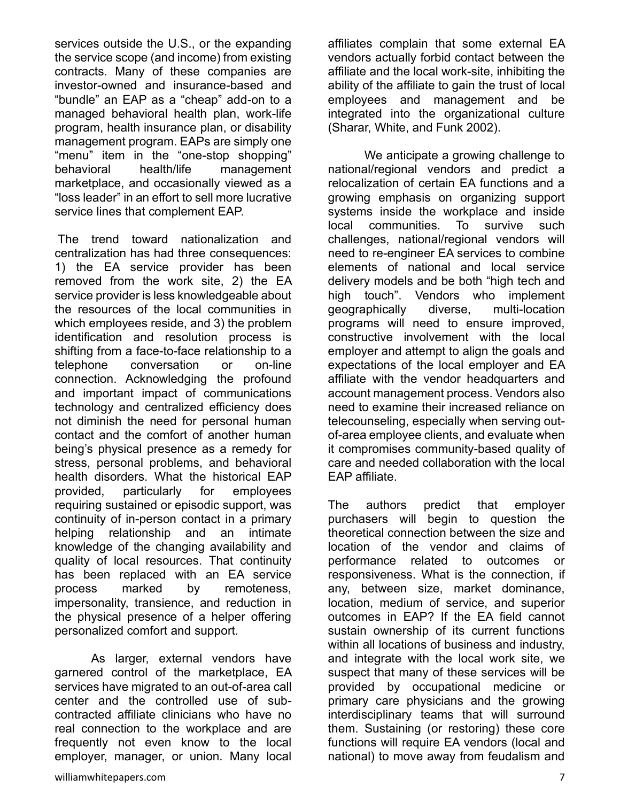services outside the U.S., or the expanding the service scope (and income) from existing contracts. Many of these companies are investor-owned and insurance-based and "bundle" an EAP as a "cheap" add-on to a managed behavioral health plan, work-life program, health insurance plan, or disability management program. EAPs are simply one "menu" item in the "one-stop shopping" behavioral health/life management marketplace, and occasionally viewed as a "loss leader" in an effort to sell more lucrative service lines that complement EAP.

The trend toward nationalization and centralization has had three consequences: 1) the EA service provider has been removed from the work site, 2) the EA service provider is less knowledgeable about the resources of the local communities in which employees reside, and 3) the problem identification and resolution process is shifting from a face-to-face relationship to a telephone conversation or on-line connection. Acknowledging the profound and important impact of communications technology and centralized efficiency does not diminish the need for personal human contact and the comfort of another human being's physical presence as a remedy for stress, personal problems, and behavioral health disorders. What the historical EAP provided, particularly for employees requiring sustained or episodic support, was continuity of in-person contact in a primary helping relationship and an intimate knowledge of the changing availability and quality of local resources. That continuity has been replaced with an EA service process marked by remoteness, impersonality, transience, and reduction in the physical presence of a helper offering personalized comfort and support.

As larger, external vendors have garnered control of the marketplace, EA services have migrated to an out-of-area call center and the controlled use of subcontracted affiliate clinicians who have no real connection to the workplace and are frequently not even know to the local employer, manager, or union. Many local affiliates complain that some external EA vendors actually forbid contact between the affiliate and the local work-site, inhibiting the ability of the affiliate to gain the trust of local employees and management and be integrated into the organizational culture (Sharar, White, and Funk 2002).

We anticipate a growing challenge to national/regional vendors and predict a relocalization of certain EA functions and a growing emphasis on organizing support systems inside the workplace and inside local communities. To survive such challenges, national/regional vendors will need to re-engineer EA services to combine elements of national and local service delivery models and be both "high tech and high touch". Vendors who implement geographically diverse, multi-location programs will need to ensure improved, constructive involvement with the local employer and attempt to align the goals and expectations of the local employer and EA affiliate with the vendor headquarters and account management process. Vendors also need to examine their increased reliance on telecounseling, especially when serving outof-area employee clients, and evaluate when it compromises community-based quality of care and needed collaboration with the local EAP affiliate.

The authors predict that employer purchasers will begin to question the theoretical connection between the size and location of the vendor and claims of performance related to outcomes or responsiveness. What is the connection, if any, between size, market dominance, location, medium of service, and superior outcomes in EAP? If the EA field cannot sustain ownership of its current functions within all locations of business and industry, and integrate with the local work site, we suspect that many of these services will be provided by occupational medicine or primary care physicians and the growing interdisciplinary teams that will surround them. Sustaining (or restoring) these core functions will require EA vendors (local and national) to move away from feudalism and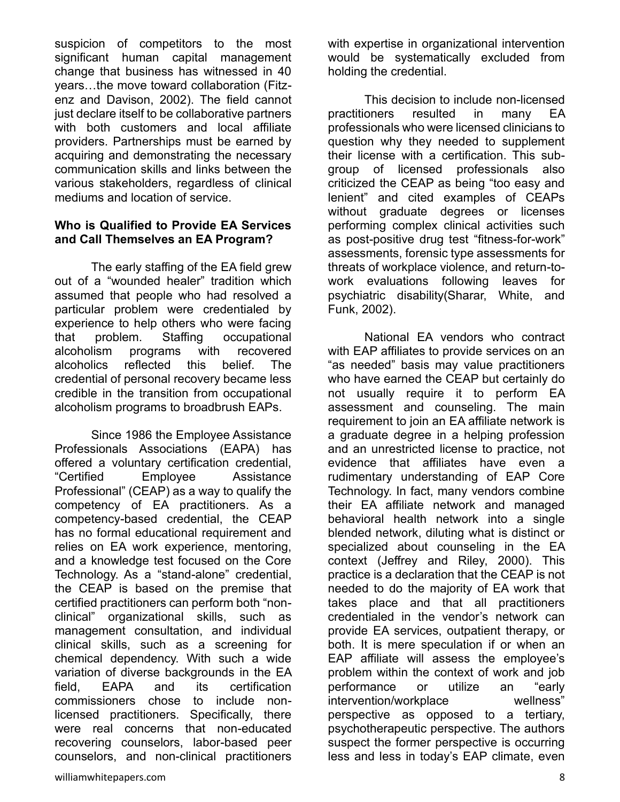suspicion of competitors to the most significant human capital management change that business has witnessed in 40 years…the move toward collaboration (Fitzenz and Davison, 2002). The field cannot just declare itself to be collaborative partners with both customers and local affiliate providers. Partnerships must be earned by acquiring and demonstrating the necessary communication skills and links between the various stakeholders, regardless of clinical mediums and location of service.

#### **Who is Qualified to Provide EA Services and Call Themselves an EA Program?**

The early staffing of the EA field grew out of a "wounded healer" tradition which assumed that people who had resolved a particular problem were credentialed by experience to help others who were facing that problem. Staffing occupational alcoholism programs with recovered alcoholics reflected this belief. The credential of personal recovery became less credible in the transition from occupational alcoholism programs to broadbrush EAPs.

Since 1986 the Employee Assistance Professionals Associations (EAPA) has offered a voluntary certification credential, "Certified Employee Assistance Professional" (CEAP) as a way to qualify the competency of EA practitioners. As a competency-based credential, the CEAP has no formal educational requirement and relies on EA work experience, mentoring, and a knowledge test focused on the Core Technology. As a "stand-alone" credential, the CEAP is based on the premise that certified practitioners can perform both "nonclinical" organizational skills, such as management consultation, and individual clinical skills, such as a screening for chemical dependency. With such a wide variation of diverse backgrounds in the EA field, EAPA and its certification commissioners chose to include nonlicensed practitioners. Specifically, there were real concerns that non-educated recovering counselors, labor-based peer counselors, and non-clinical practitioners

with expertise in organizational intervention would be systematically excluded from holding the credential.

This decision to include non-licensed practitioners resulted in many EA professionals who were licensed clinicians to question why they needed to supplement their license with a certification. This subgroup of licensed professionals also criticized the CEAP as being "too easy and lenient" and cited examples of CEAPs without graduate degrees or licenses performing complex clinical activities such as post-positive drug test "fitness-for-work" assessments, forensic type assessments for threats of workplace violence, and return-towork evaluations following leaves for psychiatric disability(Sharar, White, and Funk, 2002).

National EA vendors who contract with EAP affiliates to provide services on an "as needed" basis may value practitioners who have earned the CEAP but certainly do not usually require it to perform EA assessment and counseling. The main requirement to join an EA affiliate network is a graduate degree in a helping profession and an unrestricted license to practice, not evidence that affiliates have even a rudimentary understanding of EAP Core Technology. In fact, many vendors combine their EA affiliate network and managed behavioral health network into a single blended network, diluting what is distinct or specialized about counseling in the EA context (Jeffrey and Riley, 2000). This practice is a declaration that the CEAP is not needed to do the majority of EA work that takes place and that all practitioners credentialed in the vendor's network can provide EA services, outpatient therapy, or both. It is mere speculation if or when an EAP affiliate will assess the employee's problem within the context of work and job performance or utilize an "early intervention/workplace wellness" perspective as opposed to a tertiary, psychotherapeutic perspective. The authors suspect the former perspective is occurring less and less in today's EAP climate, even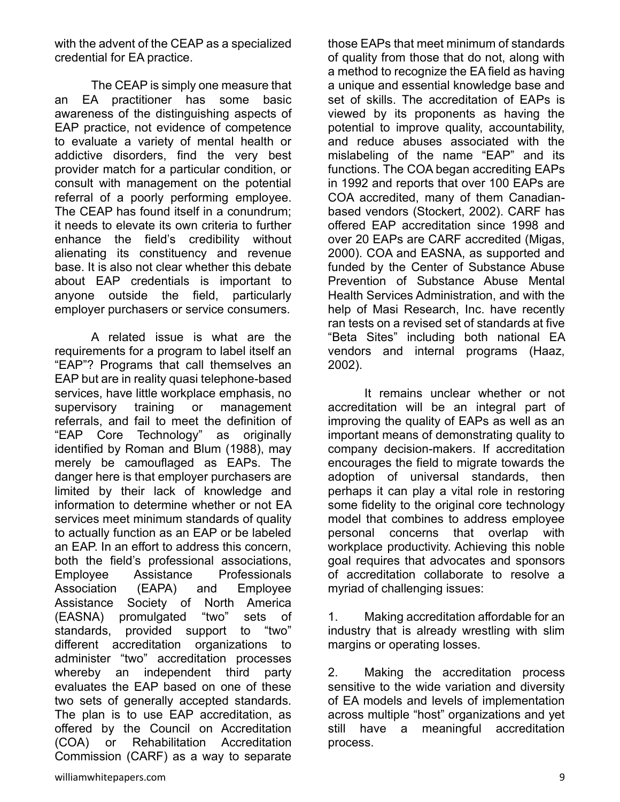with the advent of the CEAP as a specialized credential for EA practice.

The CEAP is simply one measure that an EA practitioner has some basic awareness of the distinguishing aspects of EAP practice, not evidence of competence to evaluate a variety of mental health or addictive disorders, find the very best provider match for a particular condition, or consult with management on the potential referral of a poorly performing employee. The CEAP has found itself in a conundrum; it needs to elevate its own criteria to further enhance the field's credibility without alienating its constituency and revenue base. It is also not clear whether this debate about EAP credentials is important to anyone outside the field, particularly employer purchasers or service consumers.

A related issue is what are the requirements for a program to label itself an "EAP"? Programs that call themselves an EAP but are in reality quasi telephone-based services, have little workplace emphasis, no supervisory training or management referrals, and fail to meet the definition of "EAP Core Technology" as originally identified by Roman and Blum (1988), may merely be camouflaged as EAPs. The danger here is that employer purchasers are limited by their lack of knowledge and information to determine whether or not EA services meet minimum standards of quality to actually function as an EAP or be labeled an EAP. In an effort to address this concern, both the field's professional associations, Employee Assistance Professionals Association (EAPA) and Employee Assistance Society of North America (EASNA) promulgated "two" sets of standards, provided support to "two" different accreditation organizations to administer "two" accreditation processes whereby an independent third party evaluates the EAP based on one of these two sets of generally accepted standards. The plan is to use EAP accreditation, as offered by the Council on Accreditation (COA) or Rehabilitation Accreditation Commission (CARF) as a way to separate

those EAPs that meet minimum of standards of quality from those that do not, along with a method to recognize the EA field as having a unique and essential knowledge base and set of skills. The accreditation of EAPs is viewed by its proponents as having the potential to improve quality, accountability, and reduce abuses associated with the mislabeling of the name "EAP" and its functions. The COA began accrediting EAPs in 1992 and reports that over 100 EAPs are COA accredited, many of them Canadianbased vendors (Stockert, 2002). CARF has offered EAP accreditation since 1998 and over 20 EAPs are CARF accredited (Migas, 2000). COA and EASNA, as supported and funded by the Center of Substance Abuse Prevention of Substance Abuse Mental Health Services Administration, and with the help of Masi Research, Inc. have recently ran tests on a revised set of standards at five "Beta Sites" including both national EA vendors and internal programs (Haaz, 2002).

It remains unclear whether or not accreditation will be an integral part of improving the quality of EAPs as well as an important means of demonstrating quality to company decision-makers. If accreditation encourages the field to migrate towards the adoption of universal standards, then perhaps it can play a vital role in restoring some fidelity to the original core technology model that combines to address employee personal concerns that overlap with workplace productivity. Achieving this noble goal requires that advocates and sponsors of accreditation collaborate to resolve a myriad of challenging issues:

1. Making accreditation affordable for an industry that is already wrestling with slim margins or operating losses.

2. Making the accreditation process sensitive to the wide variation and diversity of EA models and levels of implementation across multiple "host" organizations and yet still have a meaningful accreditation process.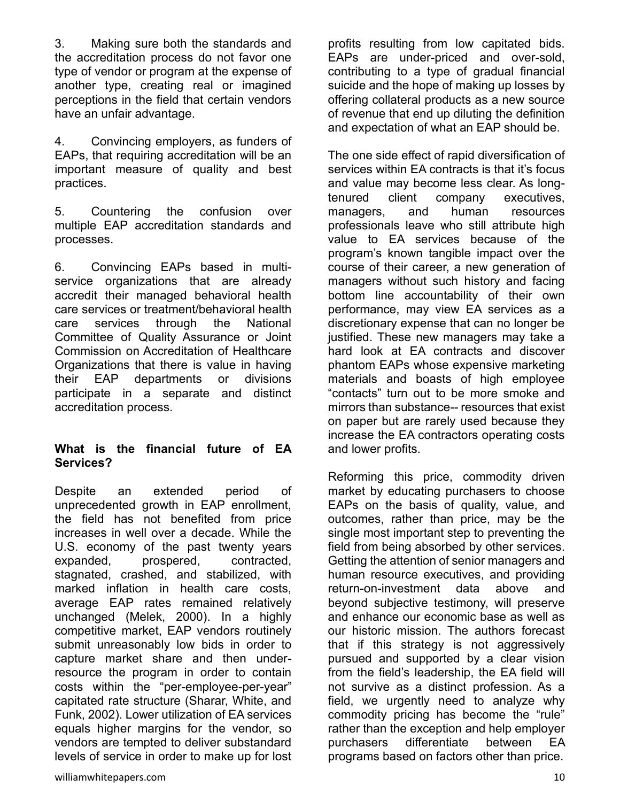3. Making sure both the standards and the accreditation process do not favor one type of vendor or program at the expense of another type, creating real or imagined perceptions in the field that certain vendors have an unfair advantage.

4. Convincing employers, as funders of EAPs, that requiring accreditation will be an important measure of quality and best practices.

5. Countering the confusion over multiple EAP accreditation standards and processes.

6. Convincing EAPs based in multiservice organizations that are already accredit their managed behavioral health care services or treatment/behavioral health care services through the National Committee of Quality Assurance or Joint Commission on Accreditation of Healthcare Organizations that there is value in having their EAP departments or divisions participate in a separate and distinct accreditation process.

#### **What is the financial future of EA Services?**

Despite an extended period of unprecedented growth in EAP enrollment, the field has not benefited from price increases in well over a decade. While the U.S. economy of the past twenty years expanded, prospered, contracted, stagnated, crashed, and stabilized, with marked inflation in health care costs, average EAP rates remained relatively unchanged (Melek, 2000). In a highly competitive market, EAP vendors routinely submit unreasonably low bids in order to capture market share and then underresource the program in order to contain costs within the "per-employee-per-year" capitated rate structure (Sharar, White, and Funk, 2002). Lower utilization of EA services equals higher margins for the vendor, so vendors are tempted to deliver substandard levels of service in order to make up for lost profits resulting from low capitated bids. EAPs are under-priced and over-sold, contributing to a type of gradual financial suicide and the hope of making up losses by offering collateral products as a new source of revenue that end up diluting the definition and expectation of what an EAP should be.

The one side effect of rapid diversification of services within EA contracts is that it's focus and value may become less clear. As longtenured client company executives, managers, and human resources professionals leave who still attribute high value to EA services because of the program's known tangible impact over the course of their career, a new generation of managers without such history and facing bottom line accountability of their own performance, may view EA services as a discretionary expense that can no longer be justified. These new managers may take a hard look at EA contracts and discover phantom EAPs whose expensive marketing materials and boasts of high employee "contacts" turn out to be more smoke and mirrors than substance-- resources that exist on paper but are rarely used because they increase the EA contractors operating costs and lower profits.

Reforming this price, commodity driven market by educating purchasers to choose EAPs on the basis of quality, value, and outcomes, rather than price, may be the single most important step to preventing the field from being absorbed by other services. Getting the attention of senior managers and human resource executives, and providing return-on-investment data above and beyond subjective testimony, will preserve and enhance our economic base as well as our historic mission. The authors forecast that if this strategy is not aggressively pursued and supported by a clear vision from the field's leadership, the EA field will not survive as a distinct profession. As a field, we urgently need to analyze why commodity pricing has become the "rule" rather than the exception and help employer purchasers differentiate between EA programs based on factors other than price.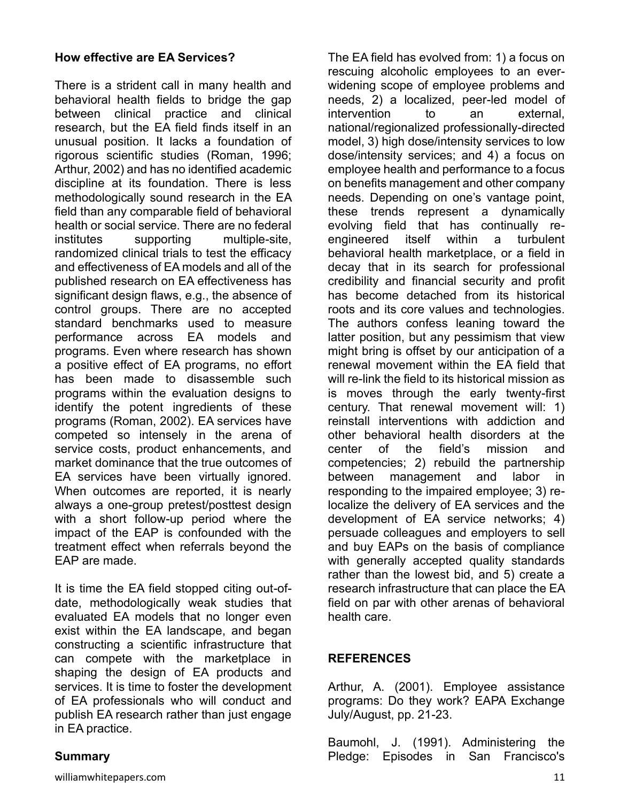#### **How effective are EA Services?**

There is a strident call in many health and behavioral health fields to bridge the gap between clinical practice and clinical research, but the EA field finds itself in an unusual position. It lacks a foundation of rigorous scientific studies (Roman, 1996; Arthur, 2002) and has no identified academic discipline at its foundation. There is less methodologically sound research in the EA field than any comparable field of behavioral health or social service. There are no federal institutes supporting multiple-site, randomized clinical trials to test the efficacy and effectiveness of EA models and all of the published research on EA effectiveness has significant design flaws, e.g., the absence of control groups. There are no accepted standard benchmarks used to measure performance across EA models and programs. Even where research has shown a positive effect of EA programs, no effort has been made to disassemble such programs within the evaluation designs to identify the potent ingredients of these programs (Roman, 2002). EA services have competed so intensely in the arena of service costs, product enhancements, and market dominance that the true outcomes of EA services have been virtually ignored. When outcomes are reported, it is nearly always a one-group pretest/posttest design with a short follow-up period where the impact of the EAP is confounded with the treatment effect when referrals beyond the EAP are made.

It is time the EA field stopped citing out-ofdate, methodologically weak studies that evaluated EA models that no longer even exist within the EA landscape, and began constructing a scientific infrastructure that can compete with the marketplace in shaping the design of EA products and services. It is time to foster the development of EA professionals who will conduct and publish EA research rather than just engage in EA practice.

The EA field has evolved from: 1) a focus on rescuing alcoholic employees to an everwidening scope of employee problems and needs, 2) a localized, peer-led model of intervention to an external, national/regionalized professionally-directed model, 3) high dose/intensity services to low dose/intensity services; and 4) a focus on employee health and performance to a focus on benefits management and other company needs. Depending on one's vantage point, these trends represent a dynamically evolving field that has continually reengineered itself within a turbulent behavioral health marketplace, or a field in decay that in its search for professional credibility and financial security and profit has become detached from its historical roots and its core values and technologies. The authors confess leaning toward the latter position, but any pessimism that view might bring is offset by our anticipation of a renewal movement within the EA field that will re-link the field to its historical mission as is moves through the early twenty-first century. That renewal movement will: 1) reinstall interventions with addiction and other behavioral health disorders at the center of the field's mission and competencies; 2) rebuild the partnership between management and labor in responding to the impaired employee; 3) relocalize the delivery of EA services and the development of EA service networks; 4) persuade colleagues and employers to sell and buy EAPs on the basis of compliance with generally accepted quality standards rather than the lowest bid, and 5) create a research infrastructure that can place the EA field on par with other arenas of behavioral health care.

#### **REFERENCES**

Arthur, A. (2001). Employee assistance programs: Do they work? EAPA Exchange July/August, pp. 21-23.

Baumohl, J. (1991). Administering the Pledge: Episodes in San Francisco's

# **Summary**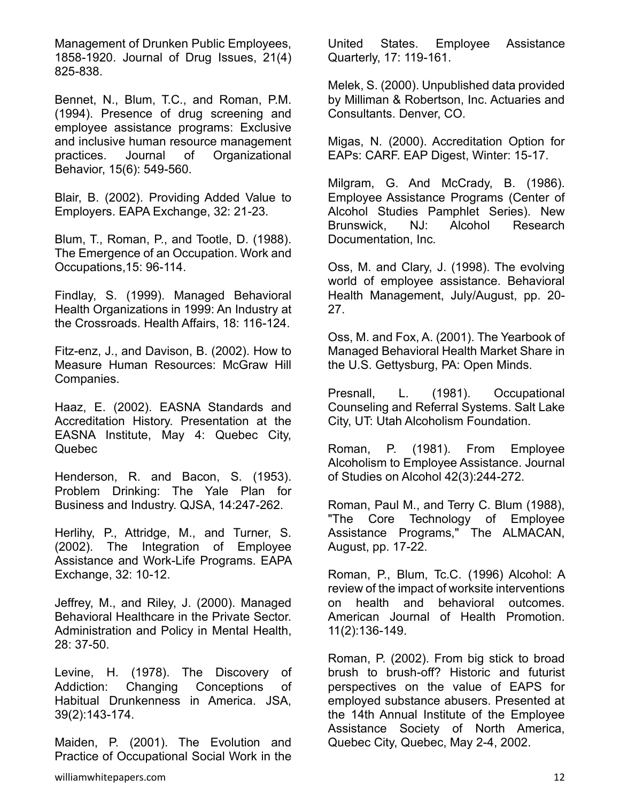Management of Drunken Public Employees, 1858-1920. Journal of Drug Issues, 21(4) 825-838.

Bennet, N., Blum, T.C., and Roman, P.M. (1994). Presence of drug screening and employee assistance programs: Exclusive and inclusive human resource management practices. Journal of Organizational Behavior, 15(6): 549-560.

Blair, B. (2002). Providing Added Value to Employers. EAPA Exchange, 32: 21-23.

Blum, T., Roman, P., and Tootle, D. (1988). The Emergence of an Occupation. Work and Occupations,15: 96-114.

Findlay, S. (1999). Managed Behavioral Health Organizations in 1999: An Industry at the Crossroads. Health Affairs, 18: 116-124.

Fitz-enz, J., and Davison, B. (2002). How to Measure Human Resources: McGraw Hill Companies.

Haaz, E. (2002). EASNA Standards and Accreditation History. Presentation at the EASNA Institute, May 4: Quebec City, Quebec

Henderson, R. and Bacon, S. (1953). Problem Drinking: The Yale Plan for Business and Industry. QJSA, 14:247-262.

Herlihy, P., Attridge, M., and Turner, S. (2002). The Integration of Employee Assistance and Work-Life Programs. EAPA Exchange, 32: 10-12.

Jeffrey, M., and Riley, J. (2000). Managed Behavioral Healthcare in the Private Sector. Administration and Policy in Mental Health, 28: 37-50.

Levine, H. (1978). The Discovery of Addiction: Changing Conceptions of Habitual Drunkenness in America. JSA, 39(2):143-174.

Maiden, P. (2001). The Evolution and Practice of Occupational Social Work in the United States. Employee Assistance Quarterly, 17: 119-161.

Melek, S. (2000). Unpublished data provided by Milliman & Robertson, Inc. Actuaries and Consultants. Denver, CO.

Migas, N. (2000). Accreditation Option for EAPs: CARF. EAP Digest, Winter: 15-17.

Milgram, G. And McCrady, B. (1986). Employee Assistance Programs (Center of Alcohol Studies Pamphlet Series). New Brunswick, NJ: Alcohol Research Documentation, Inc.

Oss, M. and Clary, J. (1998). The evolving world of employee assistance. Behavioral Health Management, July/August, pp. 20- 27.

Oss, M. and Fox, A. (2001). The Yearbook of Managed Behavioral Health Market Share in the U.S. Gettysburg, PA: Open Minds.

Presnall, L. (1981). Occupational Counseling and Referral Systems. Salt Lake City, UT: Utah Alcoholism Foundation.

Roman, P. (1981). From Employee Alcoholism to Employee Assistance. Journal of Studies on Alcohol 42(3):244-272.

Roman, Paul M., and Terry C. Blum (1988), "The Core Technology of Employee Assistance Programs," The ALMACAN, August, pp. 17-22.

Roman, P., Blum, Tc.C. (1996) Alcohol: A review of the impact of worksite interventions on health and behavioral outcomes. American Journal of Health Promotion. 11(2):136-149.

Roman, P. (2002). From big stick to broad brush to brush-off? Historic and futurist perspectives on the value of EAPS for employed substance abusers. Presented at the 14th Annual Institute of the Employee Assistance Society of North America, Quebec City, Quebec, May 2-4, 2002.